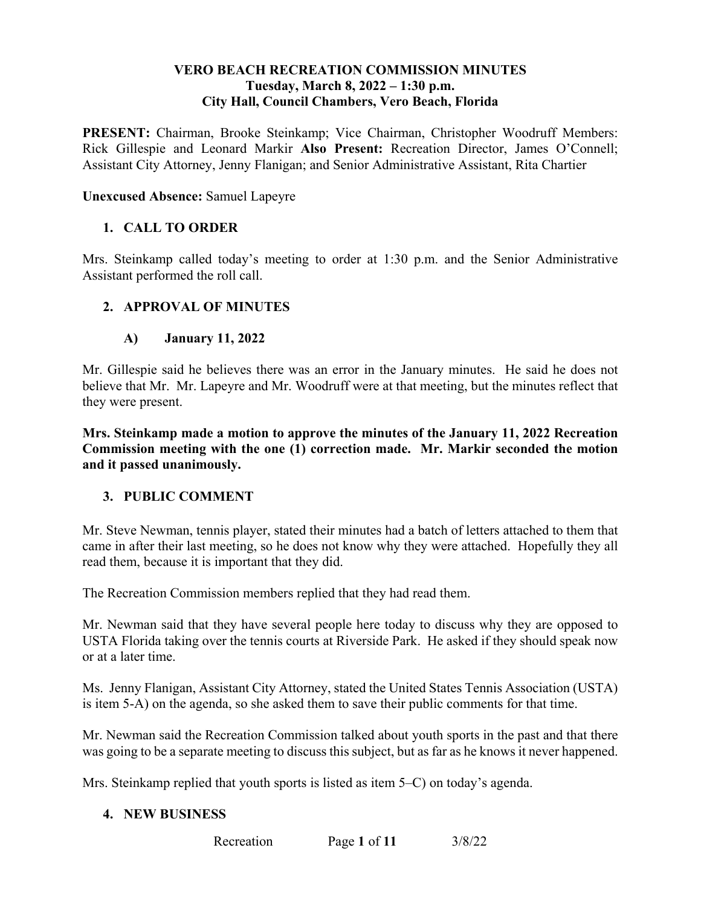### **VERO BEACH RECREATION COMMISSION MINUTES**  Tuesday, March 8, 2022 – 1:30 p.m. **City Hall, Council Chambers, Vero Beach, Florida**

PRESENT: Chairman, Brooke Steinkamp; Vice Chairman, Christopher Woodruff Members: Rick Gillespie and Leonard Markir Also Present: Recreation Director, James O'Connell; Assistant City Attorney, Jenny Flanigan; and Senior Administrative Assistant, Rita Chartier

#### **Unexcused Absence:** Samuel Lapeyre

### **1. CALL TO ORDER**

Mrs. Steinkamp called today's meeting to order at 1:30 p.m. and the Senior Administrative Assistant performed the roll call.

### **2. APPROVAL OF MINUTES**

#### **A) January 11, 2022**

 believe that Mr. Mr. Lapeyre and Mr. Woodruff were at that meeting, but the minutes reflect that they were present. Mr. Gillespie said he believes there was an error in the January minutes. He said he does not

 **Mrs. Steinkamp made a motion to approve the minutes of the January 11, 2022 Recreation Commission meeting with the one (1) correction made. Mr. Markir seconded the motion and it passed unanimously.** 

#### **3. PUBLIC COMMENT**

Mr. Steve Newman, tennis player, stated their minutes had a batch of letters attached to them that came in after their last meeting, so he does not know why they were attached. Hopefully they all read them, because it is important that they did.

The Recreation Commission members replied that they had read them.

Mr. Newman said that they have several people here today to discuss why they are opposed to USTA Florida taking over the tennis courts at Riverside Park. He asked if they should speak now or at a later time.

Ms. Jenny Flanigan, Assistant City Attorney, stated the United States Tennis Association (USTA) is item 5-A) on the agenda, so she asked them to save their public comments for that time.

 Mr. Newman said the Recreation Commission talked about youth sports in the past and that there was going to be a separate meeting to discuss this subject, but as far as he knows it never happened.

Mrs. Steinkamp replied that youth sports is listed as item 5–C) on today's agenda.

#### **4. NEW BUSINESS**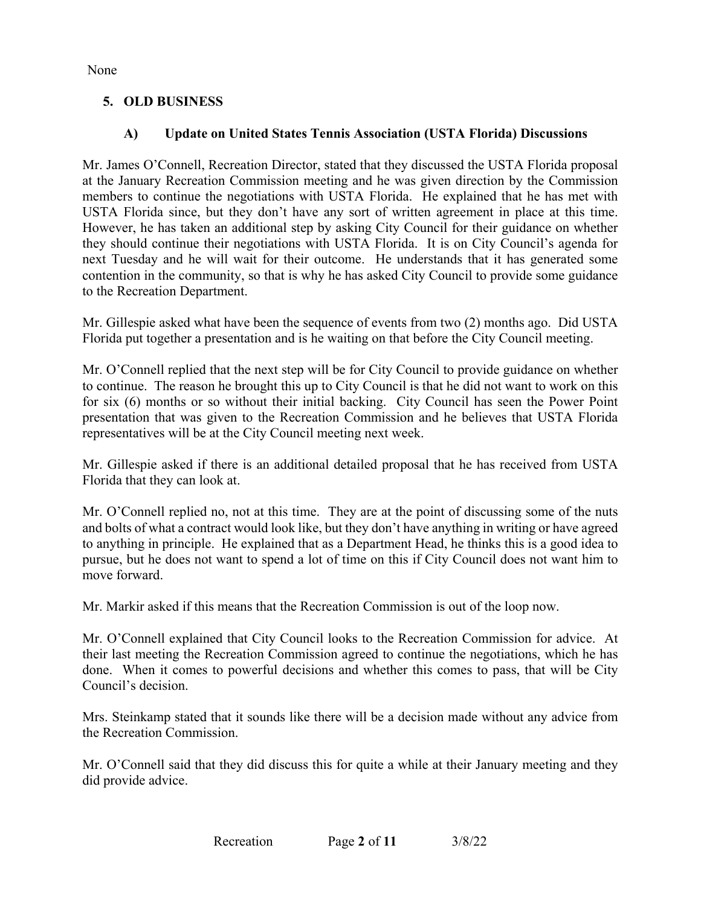None

## **5. OLD BUSINESS**

## **A) Update on United States Tennis Association (USTA Florida) Discussions**

 at the January Recreation Commission meeting and he was given direction by the Commission USTA Florida since, but they don't have any sort of written agreement in place at this time. next Tuesday and he will wait for their outcome. He understands that it has generated some Mr. James O'Connell, Recreation Director, stated that they discussed the USTA Florida proposal members to continue the negotiations with USTA Florida. He explained that he has met with However, he has taken an additional step by asking City Council for their guidance on whether they should continue their negotiations with USTA Florida. It is on City Council's agenda for contention in the community, so that is why he has asked City Council to provide some guidance to the Recreation Department.

 Mr. Gillespie asked what have been the sequence of events from two (2) months ago. Did USTA Florida put together a presentation and is he waiting on that before the City Council meeting.

 Mr. O'Connell replied that the next step will be for City Council to provide guidance on whether to continue. The reason he brought this up to City Council is that he did not want to work on this for six (6) months or so without their initial backing. City Council has seen the Power Point presentation that was given to the Recreation Commission and he believes that USTA Florida representatives will be at the City Council meeting next week.

 Mr. Gillespie asked if there is an additional detailed proposal that he has received from USTA Florida that they can look at.

 and bolts of what a contract would look like, but they don't have anything in writing or have agreed pursue, but he does not want to spend a lot of time on this if City Council does not want him to Mr. O'Connell replied no, not at this time. They are at the point of discussing some of the nuts to anything in principle. He explained that as a Department Head, he thinks this is a good idea to move forward.

Mr. Markir asked if this means that the Recreation Commission is out of the loop now.

 Mr. O'Connell explained that City Council looks to the Recreation Commission for advice. At their last meeting the Recreation Commission agreed to continue the negotiations, which he has done. When it comes to powerful decisions and whether this comes to pass, that will be City Council's decision.

 Mrs. Steinkamp stated that it sounds like there will be a decision made without any advice from the Recreation Commission.

Mr. O'Connell said that they did discuss this for quite a while at their January meeting and they did provide advice.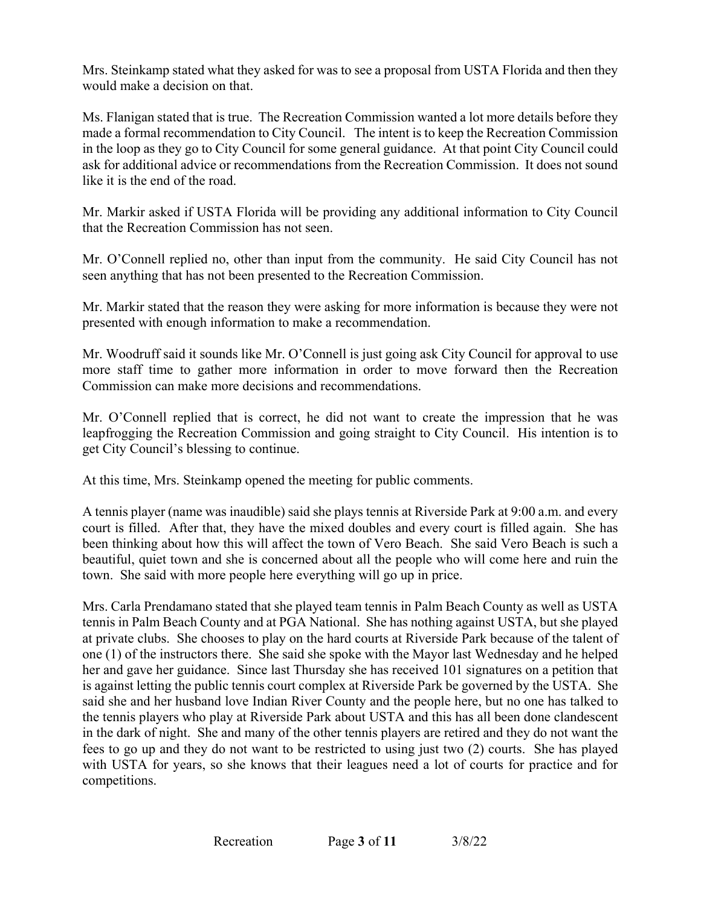Mrs. Steinkamp stated what they asked for was to see a proposal from USTA Florida and then they would make a decision on that.

 Ms. Flanigan stated that is true. The Recreation Commission wanted a lot more details before they in the loop as they go to City Council for some general guidance. At that point City Council could like it is the end of the road. made a formal recommendation to City Council. The intent is to keep the Recreation Commission ask for additional advice or recommendations from the Recreation Commission. It does not sound

 that the Recreation Commission has not seen. Mr. Markir asked if USTA Florida will be providing any additional information to City Council

Mr. O'Connell replied no, other than input from the community. He said City Council has not seen anything that has not been presented to the Recreation Commission.

Mr. Markir stated that the reason they were asking for more information is because they were not presented with enough information to make a recommendation.

Mr. Woodruff said it sounds like Mr. O'Connell is just going ask City Council for approval to use more staff time to gather more information in order to move forward then the Recreation Commission can make more decisions and recommendations.

Mr. O'Connell replied that is correct, he did not want to create the impression that he was leapfrogging the Recreation Commission and going straight to City Council. His intention is to get City Council's blessing to continue.

At this time, Mrs. Steinkamp opened the meeting for public comments.

 A tennis player (name was inaudible) said she plays tennis at Riverside Park at 9:00 a.m. and every court is filled. After that, they have the mixed doubles and every court is filled again. She has been thinking about how this will affect the town of Vero Beach. She said Vero Beach is such a beautiful, quiet town and she is concerned about all the people who will come here and ruin the town. She said with more people here everything will go up in price.

 Mrs. Carla Prendamano stated that she played team tennis in Palm Beach County as well as USTA tennis in Palm Beach County and at PGA National. She has nothing against USTA, but she played one (1) of the instructors there. She said she spoke with the Mayor last Wednesday and he helped is against letting the public tennis court complex at Riverside Park be governed by the USTA. She said she and her husband love Indian River County and the people here, but no one has talked to at private clubs. She chooses to play on the hard courts at Riverside Park because of the talent of her and gave her guidance. Since last Thursday she has received 101 signatures on a petition that the tennis players who play at Riverside Park about USTA and this has all been done clandescent in the dark of night. She and many of the other tennis players are retired and they do not want the fees to go up and they do not want to be restricted to using just two (2) courts. She has played with USTA for years, so she knows that their leagues need a lot of courts for practice and for competitions.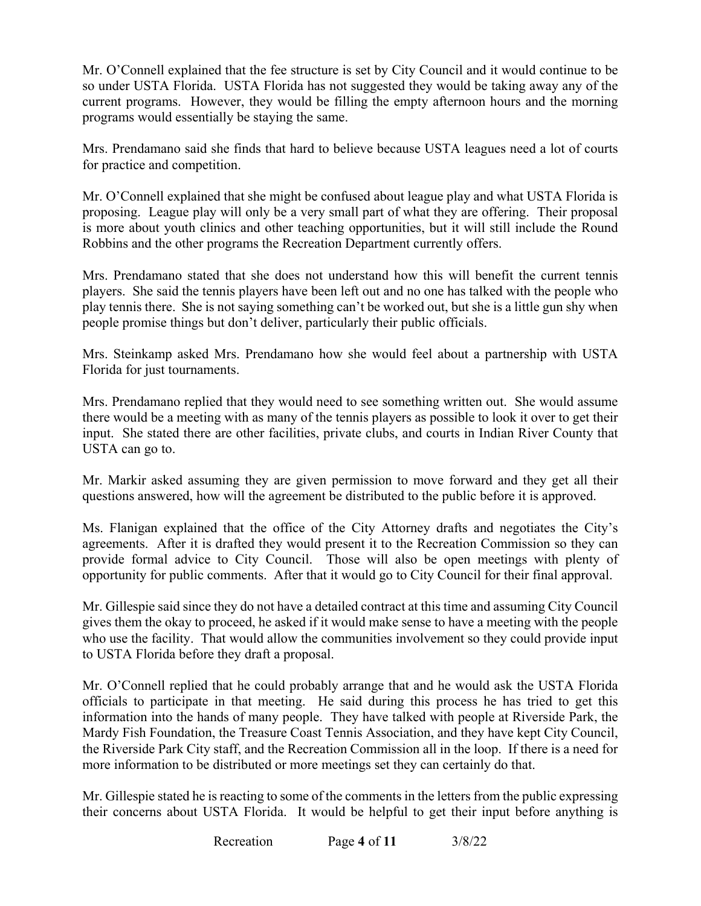Mr. O'Connell explained that the fee structure is set by City Council and it would continue to be current programs. However, they would be filling the empty afternoon hours and the morning so under USTA Florida. USTA Florida has not suggested they would be taking away any of the programs would essentially be staying the same.

Mrs. Prendamano said she finds that hard to believe because USTA leagues need a lot of courts for practice and competition.

 Robbins and the other programs the Recreation Department currently offers. Mr. O'Connell explained that she might be confused about league play and what USTA Florida is proposing. League play will only be a very small part of what they are offering. Their proposal is more about youth clinics and other teaching opportunities, but it will still include the Round

 Mrs. Prendamano stated that she does not understand how this will benefit the current tennis players. She said the tennis players have been left out and no one has talked with the people who people promise things but don't deliver, particularly their public officials. play tennis there. She is not saying something can't be worked out, but she is a little gun shy when

 Florida for just tournaments. Mrs. Steinkamp asked Mrs. Prendamano how she would feel about a partnership with USTA

 Mrs. Prendamano replied that they would need to see something written out. She would assume input. She stated there are other facilities, private clubs, and courts in Indian River County that there would be a meeting with as many of the tennis players as possible to look it over to get their USTA can go to.

 Mr. Markir asked assuming they are given permission to move forward and they get all their questions answered, how will the agreement be distributed to the public before it is approved.

 questions answered, how will the agreement be distributed to the public before it is approved. Ms. Flanigan explained that the office of the City Attorney drafts and negotiates the City's agreements. After it is drafted they would present it to the Recreation Commission so they can provide formal advice to City Council. Those will also be open meetings with plenty of opportunity for public comments. After that it would go to City Council for their final approval.

 gives them the okay to proceed, he asked if it would make sense to have a meeting with the people to USTA Florida before they draft a proposal. Mr. Gillespie said since they do not have a detailed contract at this time and assuming City Council who use the facility. That would allow the communities involvement so they could provide input

 information into the hands of many people. They have talked with people at Riverside Park, the the Riverside Park City staff, and the Recreation Commission all in the loop. If there is a need for Mr. O'Connell replied that he could probably arrange that and he would ask the USTA Florida officials to participate in that meeting. He said during this process he has tried to get this Mardy Fish Foundation, the Treasure Coast Tennis Association, and they have kept City Council, more information to be distributed or more meetings set they can certainly do that.

 their concerns about USTA Florida. It would be helpful to get their input before anything is Mr. Gillespie stated he is reacting to some of the comments in the letters from the public expressing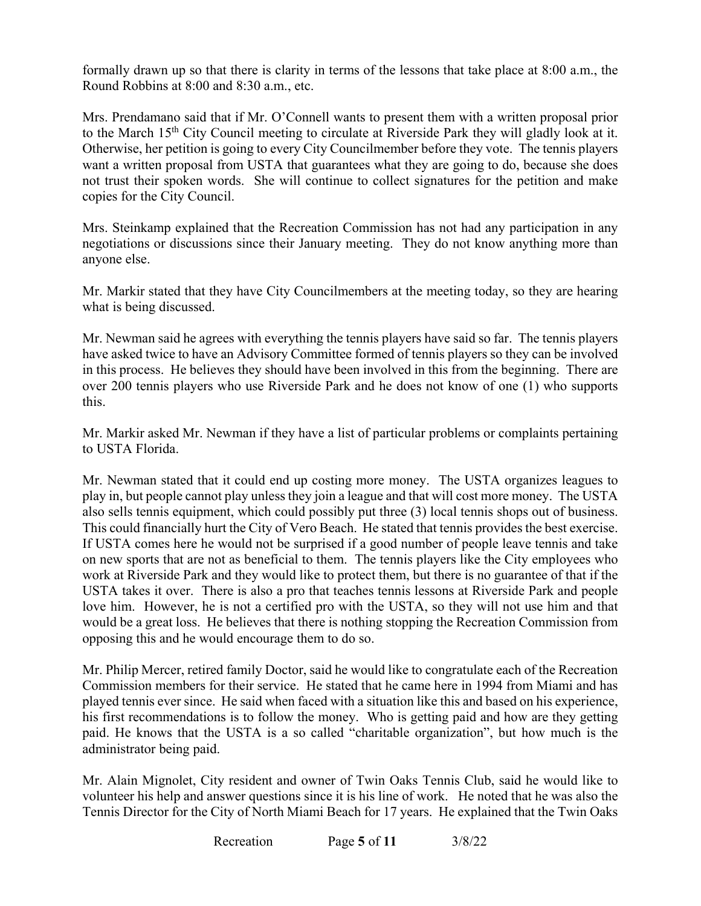formally drawn up so that there is clarity in terms of the lessons that take place at 8:00 a.m., the Round Robbins at 8:00 and 8:30 a.m., etc.

to the March 15<sup>th</sup> City Council meeting to circulate at Riverside Park they will gladly look at it. copies for the City Council. Mrs. Prendamano said that if Mr. O'Connell wants to present them with a written proposal prior Otherwise, her petition is going to every City Council member before they vote. The tennis players want a written proposal from USTA that guarantees what they are going to do, because she does not trust their spoken words. She will continue to collect signatures for the petition and make

copies for the City Council.<br>Mrs. Steinkamp explained that the Recreation Commission has not had any participation in any negotiations or discussions since their January meeting. They do not know anything more than anyone else.

Mr. Markir stated that they have City Councilmembers at the meeting today, so they are hearing what is being discussed.

Mr. Newman said he agrees with everything the tennis players have said so far. The tennis players have asked twice to have an Advisory Committee formed of tennis players so they can be involved in this process. He believes they should have been involved in this from the beginning. There are over 200 tennis players who use Riverside Park and he does not know of one (1) who supports this.

 to USTA Florida. Mr. Markir asked Mr. Newman if they have a list of particular problems or complaints pertaining

 Mr. Newman stated that it could end up costing more money. The USTA organizes leagues to play in, but people cannot play unless they join a league and that will cost more money. The USTA also sells tennis equipment, which could possibly put three (3) local tennis shops out of business. This could financially hurt the City of Vero Beach. He stated that tennis provides the best exercise. This could financially hurt the City of Vero Beach. He stated that tennis provides the best exercise. If USTA comes here he would not be surprised if a good number of people leave tennis and take on new sports that are not as beneficial to them. The tennis players like the City employees who work at Riverside Park and they would like to protect them, but there is no guarantee of that if the USTA takes it over. There is also a pro that teaches tennis lessons at Riverside Park and people love him. However, he is not a certified pro with the USTA, so they will not use him and that would be a great loss. He believes that there is nothing stopping the Recreation Commission from opposing this and he would encourage them to do so.

 Mr. Philip Mercer, retired family Doctor, said he would like to congratulate each of the Recreation Commission members for their service. He stated that he came here in 1994 from Miami and has played tennis ever since. He said when faced with a situation like this and based on his experience, administrator being paid. his first recommendations is to follow the money. Who is getting paid and how are they getting paid. He knows that the USTA is a so called "charitable organization", but how much is the

 volunteer his help and answer questions since it is his line of work. He noted that he was also the Mr. Alain Mignolet, City resident and owner of Twin Oaks Tennis Club, said he would like to Tennis Director for the City of North Miami Beach for 17 years. He explained that the Twin Oaks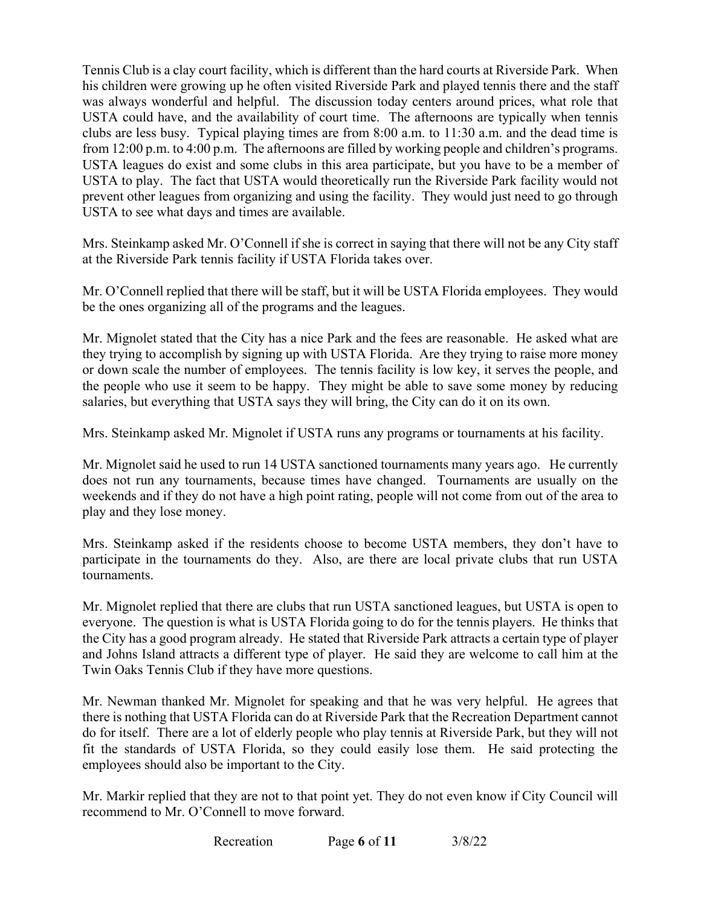his children were growing up he often visited Riverside Park and played tennis there and the staff was always wonderful and helpful. The discussion today centers around prices, what role that USTA could have, and the availability of court time. The afternoons are typically when tennis clubs are less busy. Typical playing times are from 8:00 a.m. to 11:30 a.m. and the dead time is USTA leagues do exist and some clubs in this area participate, but you have to be a member of USTA to see what days and times are available. Tennis Club is a clay court facility, which is different than the hard courts at Riverside Park. When from 12:00 p.m. to 4:00 p.m. The afternoons are filled by working people and children's programs. USTA to play. The fact that USTA would theoretically run the Riverside Park facility would not prevent other leagues from organizing and using the facility. They would just need to go through

 at the Riverside Park tennis facility if USTA Florida takes over. Mrs. Steinkamp asked Mr. O'Connell if she is correct in saying that there will not be any City staff

 Mr. O'Connell replied that there will be staff, but it will be USTA Florida employees. They would be the ones organizing all of the programs and the leagues.

 Mr. Mignolet stated that the City has a nice Park and the fees are reasonable. He asked what are or down scale the number of employees. The tennis facility is low key, it serves the people, and the people who use it seem to be happy. They might be able to save some money by reducing they trying to accomplish by signing up with USTA Florida. Are they trying to raise more money salaries, but everything that USTA says they will bring, the City can do it on its own.

Mrs. Steinkamp asked Mr. Mignolet if USTA runs any programs or tournaments at his facility.

 weekends and if they do not have a high point rating, people will not come from out of the area to play and they lose money. Mr. Mignolet said he used to run 14 USTA sanctioned tournaments many years ago. He currently does not run any tournaments, because times have changed. Tournaments are usually on the

tournaments. Mrs. Steinkamp asked if the residents choose to become USTA members, they don't have to participate in the tournaments do they. Also, are there are local private clubs that run USTA

 and Johns Island attracts a different type of player. He said they are welcome to call him at the Twin Oaks Tennis Club if they have more questions. Mr. Mignolet replied that there are clubs that run USTA sanctioned leagues, but USTA is open to everyone. The question is what is USTA Florida going to do for the tennis players. He thinks that the City has a good program already. He stated that Riverside Park attracts a certain type of player

 Mr. Newman thanked Mr. Mignolet for speaking and that he was very helpful. He agrees that there is nothing that USTA Florida can do at Riverside Park that the Recreation Department cannot do for itself. There are a lot of elderly people who play tennis at Riverside Park, but they will not fit the standards of USTA Florida, so they could easily lose them. He said protecting the employees should also be important to the City.

 Mr. Markir replied that they are not to that point yet. They do not even know if City Council will recommend to Mr. O'Connell to move forward.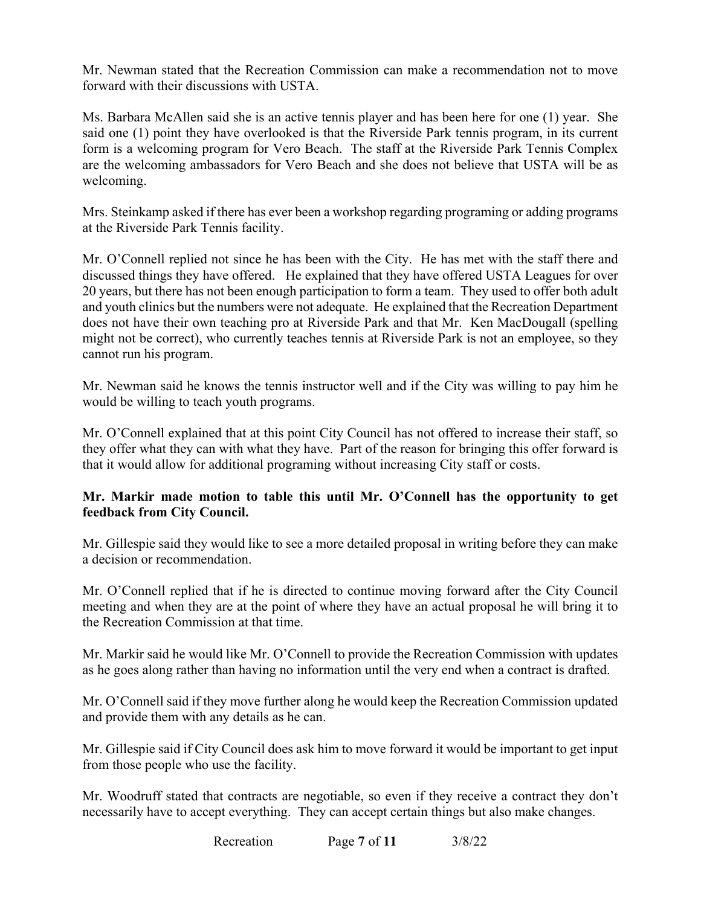Mr. Newman stated that the Recreation Commission can make a recommendation not to move forward with their discussions with USTA.

 Ms. Barbara McAllen said she is an active tennis player and has been here for one (1) year. She said one (1) point they have overlooked is that the Riverside Park tennis program, in its current form is a welcoming program for Vero Beach. The staff at the Riverside Park Tennis Complex are the welcoming ambassadors for Vero Beach and she does not believe that USTA will be as welcoming.

Mrs. Steinkamp asked if there has ever been a workshop regarding programing or adding programs at the Riverside Park Tennis facility.

 Mr. O'Connell replied not since he has been with the City. He has met with the staff there and 20 years, but there has not been enough participation to form a team. They used to offer both adult and youth clinics but the numbers were not adequate. He explained that the Recreation Department does not have their own teaching pro at Riverside Park and that Mr. Ken MacDougall (spelling discussed things they have offered. He explained that they have offered USTA Leagues for over might not be correct), who currently teaches tennis at Riverside Park is not an employee, so they cannot run his program.

Mr. Newman said he knows the tennis instructor well and if the City was willing to pay him he would be willing to teach youth programs.

 Mr. O'Connell explained that at this point City Council has not offered to increase their staff, so they offer what they can with what they have. Part of the reason for bringing this offer forward is that it would allow for additional programing without increasing City staff or costs.

### **Mr. Markir made motion to table this until Mr. O'Connell has the opportunity to get feedback from City Council.**

Mr. Gillespie said they would like to see a more detailed proposal in writing before they can make a decision or recommendation.

 Mr. O'Connell replied that if he is directed to continue moving forward after the City Council meeting and when they are at the point of where they have an actual proposal he will bring it to the Recreation Commission at that time.

 as he goes along rather than having no information until the very end when a contract is drafted. Mr. Markir said he would like Mr. O'Connell to provide the Recreation Commission with updates

Mr. O'Connell said if they move further along he would keep the Recreation Commission updated and provide them with any details as he can.

Mr. Gillespie said if City Council does ask him to move forward it would be important to get input from those people who use the facility.

 necessarily have to accept everything. They can accept certain things but also make changes. Mr. Woodruff stated that contracts are negotiable, so even if they receive a contract they don't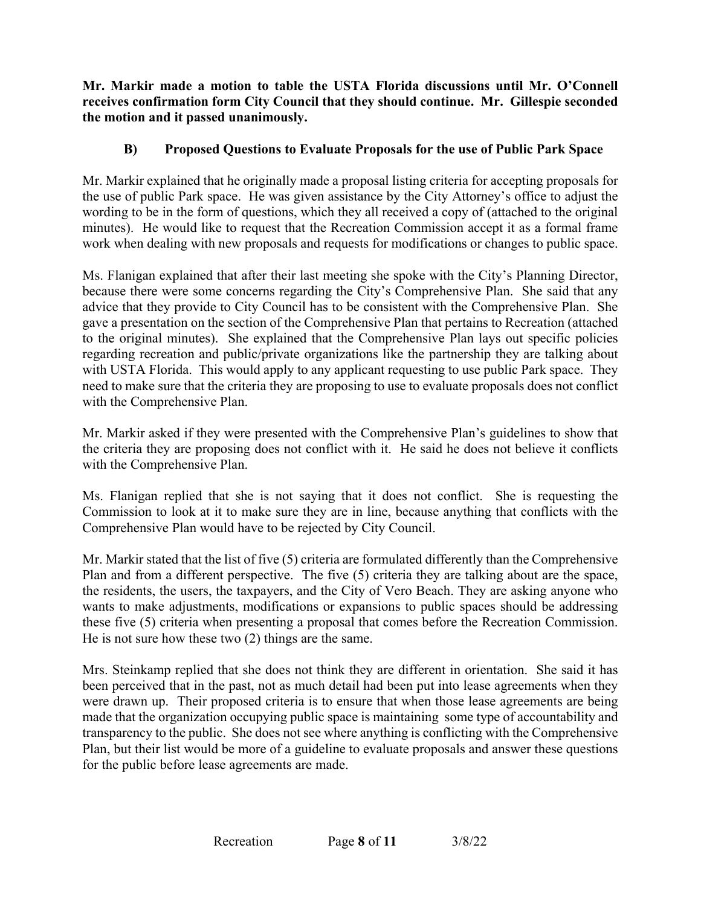**receives confirmation form City Council that they should continue. Mr. Gillespie seconded Mr. Markir made a motion to table the USTA Florida discussions until Mr. O'Connell the motion and it passed unanimously.** 

## **B) Proposed Questions to Evaluate Proposals for the use of Public Park Space**

 Mr. Markir explained that he originally made a proposal listing criteria for accepting proposals for minutes). He would like to request that the Recreation Commission accept it as a formal frame the use of public Park space. He was given assistance by the City Attorney's office to adjust the wording to be in the form of questions, which they all received a copy of (attached to the original work when dealing with new proposals and requests for modifications or changes to public space.

 to the original minutes). She explained that the Comprehensive Plan lays out specific policies regarding recreation and public/private organizations like the partnership they are talking about with USTA Florida. This would apply to any applicant requesting to use public Park space. They need to make sure that the criteria they are proposing to use to evaluate proposals does not conflict Ms. Flanigan explained that after their last meeting she spoke with the City's Planning Director, because there were some concerns regarding the City's Comprehensive Plan. She said that any advice that they provide to City Council has to be consistent with the Comprehensive Plan. She gave a presentation on the section of the Comprehensive Plan that pertains to Recreation (attached with the Comprehensive Plan.

 the criteria they are proposing does not conflict with it. He said he does not believe it conflicts Mr. Markir asked if they were presented with the Comprehensive Plan's guidelines to show that with the Comprehensive Plan.

 Ms. Flanigan replied that she is not saying that it does not conflict. She is requesting the Commission to look at it to make sure they are in line, because anything that conflicts with the Comprehensive Plan would have to be rejected by City Council.

 Mr. Markir stated that the list of five (5) criteria are formulated differently than the Comprehensive wants to make adjustments, modifications or expansions to public spaces should be addressing these five (5) criteria when presenting a proposal that comes before the Recreation Commission. He is not sure how these two  $(2)$  things are the same. Plan and from a different perspective. The five (5) criteria they are talking about are the space, the residents, the users, the taxpayers, and the City of Vero Beach. They are asking anyone who

 been perceived that in the past, not as much detail had been put into lease agreements when they transparency to the public. She does not see where anything is conflicting with the Comprehensive Mrs. Steinkamp replied that she does not think they are different in orientation. She said it has were drawn up. Their proposed criteria is to ensure that when those lease agreements are being made that the organization occupying public space is maintaining some type of accountability and Plan, but their list would be more of a guideline to evaluate proposals and answer these questions for the public before lease agreements are made.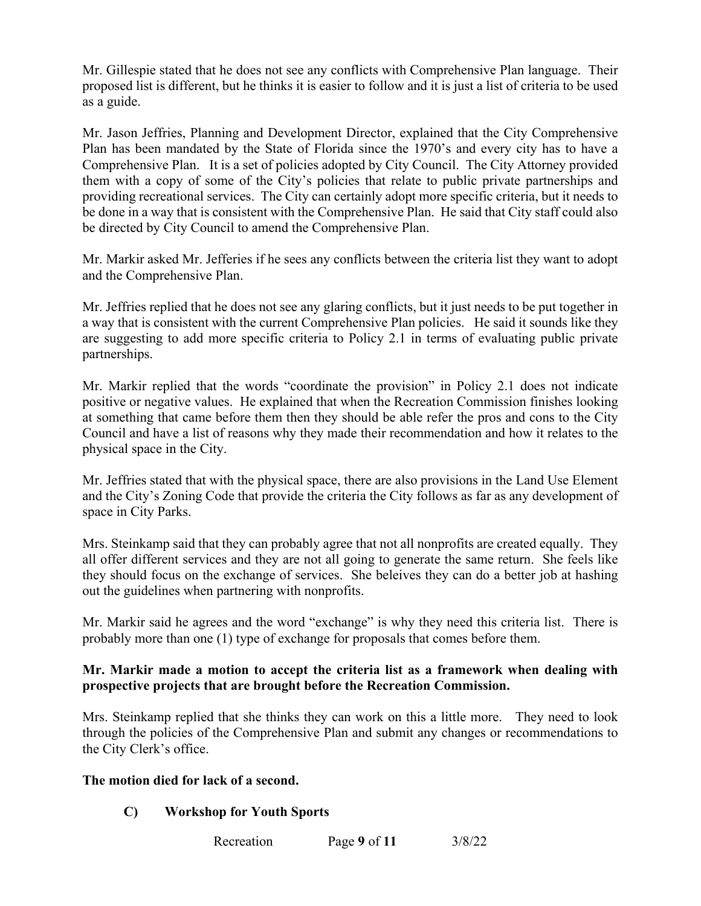proposed list is different, but he thinks it is easier to follow and it is just a list of criteria to be used Mr. Gillespie stated that he does not see any conflicts with Comprehensive Plan language. Their as a guide.

 Plan has been mandated by the State of Florida since the 1970's and every city has to have a Comprehensive Plan. It is a set of policies adopted by City Council. The City Attorney provided be done in a way that is consistent with the Comprehensive Plan. He said that City staff could also Mr. Jason Jeffries, Planning and Development Director, explained that the City Comprehensive them with a copy of some of the City's policies that relate to public private partnerships and providing recreational services. The City can certainly adopt more specific criteria, but it needs to be directed by City Council to amend the Comprehensive Plan.

Mr. Markir asked Mr. Jefferies if he sees any conflicts between the criteria list they want to adopt and the Comprehensive Plan.

 a way that is consistent with the current Comprehensive Plan policies. He said it sounds like they Mr. Jeffries replied that he does not see any glaring conflicts, but it just needs to be put together in are suggesting to add more specific criteria to Policy 2.1 in terms of evaluating public private partnerships.

 positive or negative values. He explained that when the Recreation Commission finishes looking Mr. Markir replied that the words "coordinate the provision" in Policy 2.1 does not indicate at something that came before them then they should be able refer the pros and cons to the City Council and have a list of reasons why they made their recommendation and how it relates to the physical space in the City.

 Mr. Jeffries stated that with the physical space, there are also provisions in the Land Use Element space in City Parks. and the City's Zoning Code that provide the criteria the City follows as far as any development of

 all offer different services and they are not all going to generate the same return. She feels like Mrs. Steinkamp said that they can probably agree that not all nonprofits are created equally. They they should focus on the exchange of services. She beleives they can do a better job at hashing out the guidelines when partnering with nonprofits.

 probably more than one (1) type of exchange for proposals that comes before them. Mr. Markir said he agrees and the word "exchange" is why they need this criteria list. There is

### **prospective projects that are brought before the Recreation Commission. Mr. Markir made a motion to accept the criteria list as a framework when dealing with**

Mrs. Steinkamp replied that she thinks they can work on this a little more. They need to look through the policies of the Comprehensive Plan and submit any changes or recommendations to the City Clerk's office.

### **The motion died for lack of a second.**

## **C) Workshop for Youth Sports**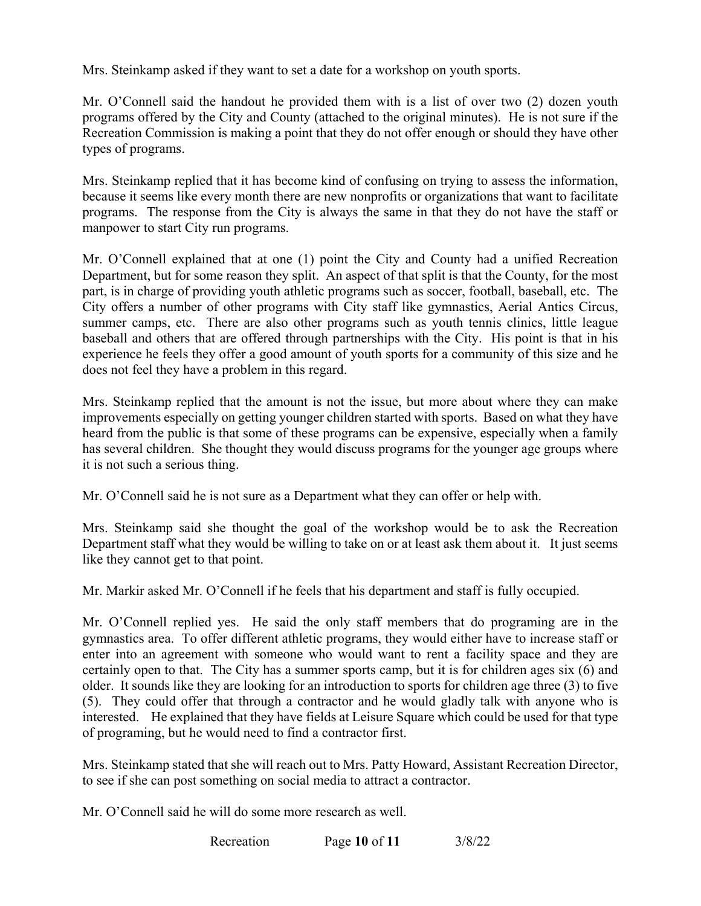Mrs. Steinkamp asked if they want to set a date for a workshop on youth sports.

 Mr. O'Connell said the handout he provided them with is a list of over two (2) dozen youth Recreation Commission is making a point that they do not offer enough or should they have other types of programs. programs offered by the City and County (attached to the original minutes). He is not sure if the

Mrs. Steinkamp replied that it has become kind of confusing on trying to assess the information, because it seems like every month there are new nonprofits or organizations that want to facilitate programs. The response from the City is always the same in that they do not have the staff or manpower to start City run programs.

 baseball and others that are offered through partnerships with the City. His point is that in his experience he feels they offer a good amount of youth sports for a community of this size and he does not feel they have a problem in this regard. Mr. O'Connell explained that at one (1) point the City and County had a unified Recreation Department, but for some reason they split. An aspect of that split is that the County, for the most part, is in charge of providing youth athletic programs such as soccer, football, baseball, etc. The City offers a number of other programs with City staff like gymnastics, Aerial Antics Circus, summer camps, etc. There are also other programs such as youth tennis clinics, little league

 heard from the public is that some of these programs can be expensive, especially when a family it is not such a serious thing. Mrs. Steinkamp replied that the amount is not the issue, but more about where they can make improvements especially on getting younger children started with sports. Based on what they have has several children. She thought they would discuss programs for the younger age groups where

it is not such a serious thing.<br>Mr. O'Connell said he is not sure as a Department what they can offer or help with.

Mrs. Steinkamp said she thought the goal of the workshop would be to ask the Recreation Department staff what they would be willing to take on or at least ask them about it. It just seems like they cannot get to that point.

Mr. Markir asked Mr. O'Connell if he feels that his department and staff is fully occupied.

 enter into an agreement with someone who would want to rent a facility space and they are certainly open to that. The City has a summer sports camp, but it is for children ages six (6) and (5). They could offer that through a contractor and he would gladly talk with anyone who is interested. He explained that they have fields at Leisure Square which could be used for that type Mr. O'Connell replied yes. He said the only staff members that do programing are in the gymnastics area. To offer different athletic programs, they would either have to increase staff or older. It sounds like they are looking for an introduction to sports for children age three (3) to five of programing, but he would need to find a contractor first.

Mrs. Steinkamp stated that she will reach out to Mrs. Patty Howard, Assistant Recreation Director, to see if she can post something on social media to attract a contractor.

Mr. O'Connell said he will do some more research as well.

Recreation Recreation Page **10** of **11** 3/8/22